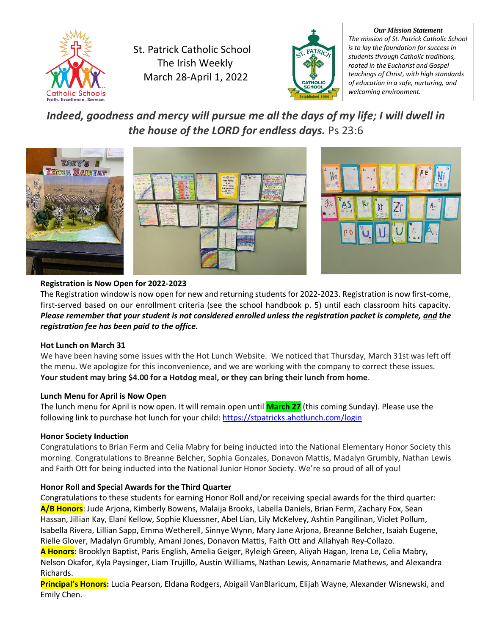

St. Patrick Catholic School The Irish Weekly March 28-April 1, 2022



*Our Mission Statement The mission of St. Patrick Catholic School is to lay the foundation for success in students through Catholic traditions, rooted in the Eucharist and Gospel teachings of Christ, with high standards of education in a safe, nurturing, and welcoming environment.*

*Indeed, goodness and mercy will pursue me all the days of my life; I will dwell in the house of the LORD for endless days.* Ps 23:6



# **Registration is Now Open for 2022-2023**

The Registration window is now open for new and returning students for 2022-2023. Registration is now first-come, first-served based on our enrollment criteria (see the school handbook p. 5) until each classroom hits capacity. *Please remember that your student is not considered enrolled unless the registration packet is complete, and the registration fee has been paid to the office.*

# **Hot Lunch on March 31**

We have been having some issues with the Hot Lunch Website. We noticed that Thursday, March 31st was left off the menu. We apologize for this inconvenience, and we are working with the company to correct these issues. **Your student may bring \$4.00 for a Hotdog meal, or they can bring their lunch from home**.

# **Lunch Menu for April is Now Open**

The lunch menu for April is now open. It will remain open until **March 27** (this coming Sunday). Please use the following link to purchase hot lunch for your child[: https://stpatricks.ahotlunch.com/login](https://stpatricks.ahotlunch.com/login)

# **Honor Society Induction**

Congratulations to Brian Ferm and Celia Mabry for being inducted into the National Elementary Honor Society this morning. Congratulations to Breanne Belcher, Sophia Gonzales, Donavon Mattis, Madalyn Grumbly, Nathan Lewis and Faith Ott for being inducted into the National Junior Honor Society. We're so proud of all of you!

# **Honor Roll and Special Awards for the Third Quarter**

Congratulations to these students for earning Honor Roll and/or receiving special awards for the third quarter: **A/B Honors**: Jude Arjona, Kimberly Bowens, Malaija Brooks, Labella Daniels, Brian Ferm, Zachary Fox, Sean Hassan, Jillian Kay, Elani Kellow, Sophie Kluessner, Abel Lian, Lily McKelvey, Ashtin Pangilinan, Violet Pollum, Isabella Rivera, Lillian Sapp, Emma Wetherell, Sinnye Wynn, Mary Jane Arjona, Breanne Belcher, Isaiah Eugene, Rielle Glover, Madalyn Grumbly, Amani Jones, Donavon Mattis, Faith Ott and Allahyah Rey-Collazo. **A Honors:** Brooklyn Baptist, Paris English, Amelia Geiger, Ryleigh Green, Aliyah Hagan, Irena Le, Celia Mabry, Nelson Okafor, Kyla Paysinger, Liam Trujillo, Austin Williams, Nathan Lewis, Annamarie Mathews, and Alexandra Richards.

**Principal's Honors:** Lucia Pearson, Eldana Rodgers, Abigail VanBlaricum, Elijah Wayne, Alexander Wisnewski, and Emily Chen.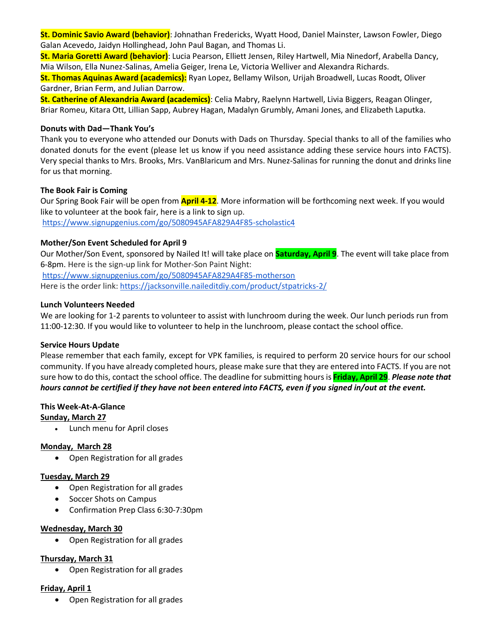**St. Dominic Savio Award (behavior)**: Johnathan Fredericks, Wyatt Hood, Daniel Mainster, Lawson Fowler, Diego Galan Acevedo, Jaidyn Hollinghead, John Paul Bagan, and Thomas Li.

**St. Maria Goretti Award (behavior)**: Lucia Pearson, Elliett Jensen, Riley Hartwell, Mia Ninedorf, Arabella Dancy, Mia Wilson, Ella Nunez-Salinas, Amelia Geiger, Irena Le, Victoria Welliver and Alexandra Richards.

**St. Thomas Aquinas Award (academics):** Ryan Lopez, Bellamy Wilson, Urijah Broadwell, Lucas Roodt, Oliver Gardner, Brian Ferm, and Julian Darrow.

**St. Catherine of Alexandria Award (academics)**: Celia Mabry, Raelynn Hartwell, Livia Biggers, Reagan Olinger, Briar Romeu, Kitara Ott, Lillian Sapp, Aubrey Hagan, Madalyn Grumbly, Amani Jones, and Elizabeth Laputka.

#### **Donuts with Dad—Thank You's**

Thank you to everyone who attended our Donuts with Dads on Thursday. Special thanks to all of the families who donated donuts for the event (please let us know if you need assistance adding these service hours into FACTS). Very special thanks to Mrs. Brooks, Mrs. VanBlaricum and Mrs. Nunez-Salinas for running the donut and drinks line for us that morning.

#### **The Book Fair is Coming**

Our Spring Book Fair will be open from **April 4-12**. More information will be forthcoming next week. If you would like to volunteer at the book fair, here is a link to sign up. <https://www.signupgenius.com/go/5080945AFA829A4F85-scholastic4>

#### **Mother/Son Event Scheduled for April 9**

Our Mother/Son Event, sponsored by Nailed It! will take place on **Saturday, April 9**. The event will take place from 6-8pm. Here is the sign-up link for Mother-Son Paint Night:

<https://www.signupgenius.com/go/5080945AFA829A4F85-motherson> Here is the order link: <https://jacksonville.naileditdiy.com/product/stpatricks-2/>

#### **Lunch Volunteers Needed**

We are looking for 1-2 parents to volunteer to assist with lunchroom during the week. Our lunch periods run from 11:00-12:30. If you would like to volunteer to help in the lunchroom, please contact the school office.

#### **Service Hours Update**

Please remember that each family, except for VPK families, is required to perform 20 service hours for our school community. If you have already completed hours, please make sure that they are entered into FACTS. If you are not sure how to do this, contact the school office. The deadline for submitting hours is **Friday, April 29**. *Please note that hours cannot be certified if they have not been entered into FACTS, even if you signed in/out at the event.*

#### **This Week-At-A-Glance**

#### **Sunday, March 27**

• Lunch menu for April closes

#### **Monday, March 28**

• Open Registration for all grades

#### **Tuesday, March 29**

- Open Registration for all grades
- Soccer Shots on Campus
- Confirmation Prep Class 6:30-7:30pm

#### **Wednesday, March 30**

• Open Registration for all grades

#### **Thursday, March 31**

• Open Registration for all grades

# **Friday, April 1**

• Open Registration for all grades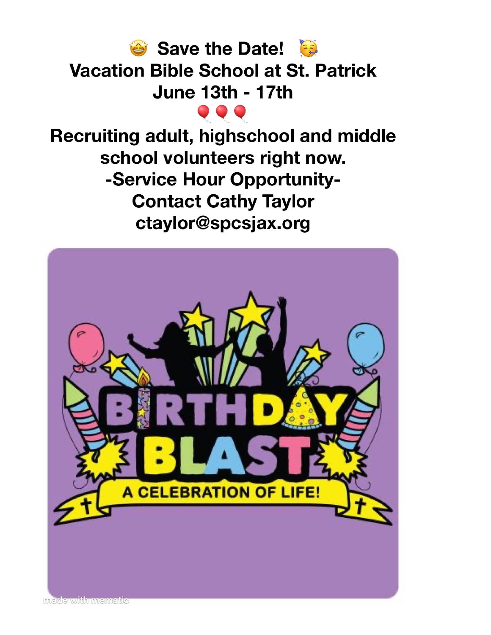

Recruiting adult, highschool and middle school volunteers right now. -Service Hour Opportunity-**Contact Cathy Taylor** ctaylor@spcsjax.org